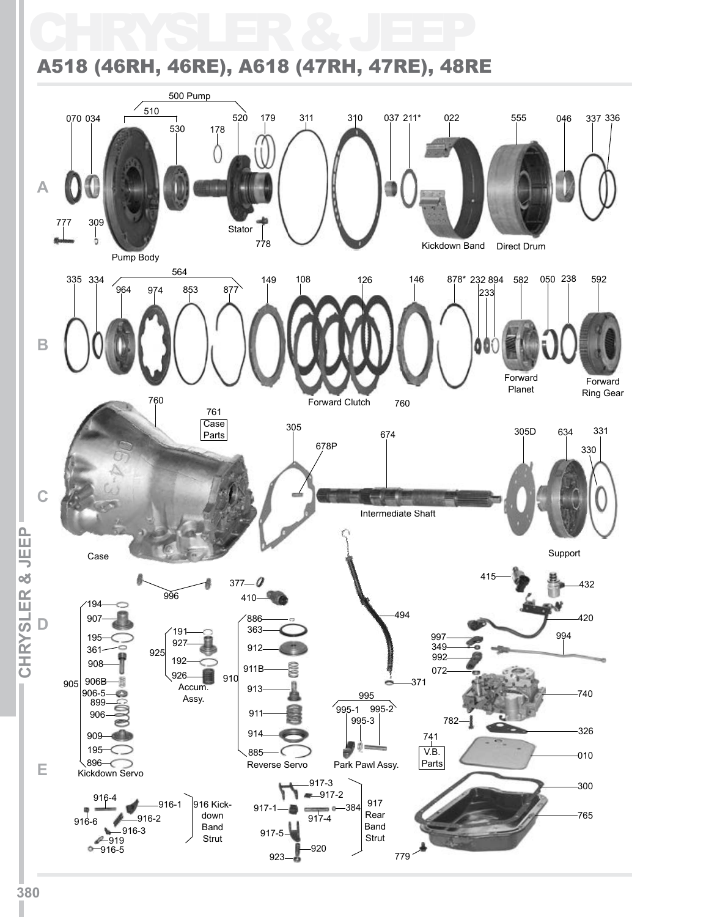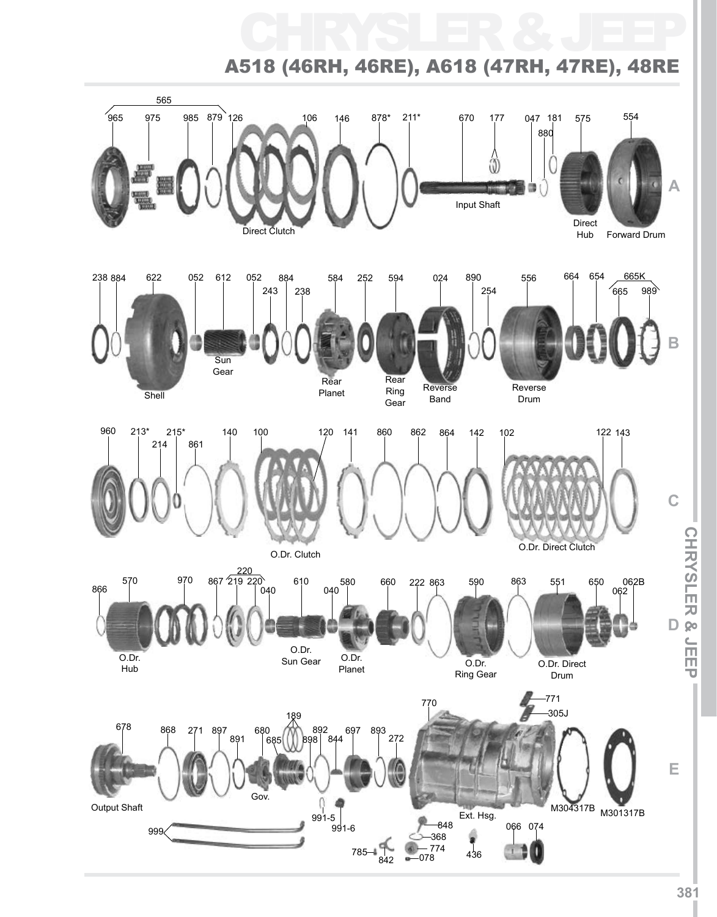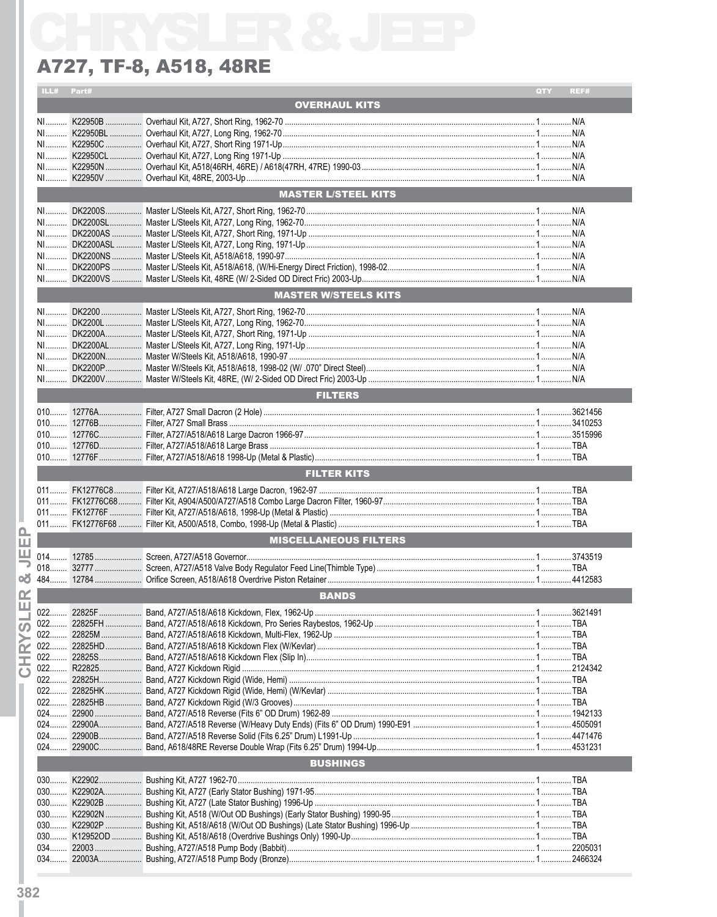|             | ILL# Part#     |        |                              | QTY | REF# |
|-------------|----------------|--------|------------------------------|-----|------|
|             |                |        | <b>OVERHAUL KITS</b>         |     |      |
|             |                |        |                              |     |      |
|             |                |        |                              |     |      |
|             |                |        |                              |     |      |
|             |                |        |                              |     |      |
|             |                |        |                              |     |      |
|             |                |        |                              |     |      |
|             |                |        |                              |     |      |
|             |                |        | <b>MASTER L/STEEL KITS</b>   |     |      |
|             |                |        |                              |     |      |
|             | $N1$           |        |                              |     |      |
|             |                |        |                              |     |      |
|             |                |        |                              |     |      |
|             |                |        |                              |     |      |
|             |                |        |                              |     |      |
|             |                |        |                              |     |      |
|             |                |        | <b>MASTER W/STEELS KITS</b>  |     |      |
|             |                |        |                              |     |      |
|             |                |        |                              |     |      |
|             |                |        |                              |     |      |
|             |                |        |                              |     |      |
|             |                |        |                              |     |      |
|             |                |        |                              |     |      |
|             |                |        |                              |     |      |
|             |                |        | <b>FILTERS</b>               |     |      |
|             |                |        |                              |     |      |
|             |                |        |                              |     |      |
|             |                |        |                              |     |      |
|             |                |        |                              |     |      |
|             |                |        |                              |     |      |
|             |                |        |                              |     |      |
|             |                |        | <b>FILTER KITS</b>           |     |      |
|             |                |        |                              |     |      |
|             |                |        |                              |     |      |
|             |                |        |                              |     |      |
| മ           |                |        |                              |     |      |
| ш           |                |        | <b>MISCELLANEOUS FILTERS</b> |     |      |
| ш           |                |        |                              |     |      |
|             |                |        |                              |     |      |
| න්          |                |        |                              |     |      |
| œ           |                |        |                              |     |      |
| ш           |                |        | <b>BANDS</b>                 |     |      |
|             | 022            |        |                              |     |      |
| ഗ           | 022            |        |                              |     |      |
|             | 022.           |        |                              |     |      |
| $\alpha$    | 022.           |        |                              |     |      |
| 玉           | 022            |        |                              |     |      |
| $\mathbf C$ | 022.           |        |                              |     |      |
|             | $022$<br>022   |        |                              |     |      |
|             | $022$          |        |                              |     |      |
|             | $024$          |        |                              |     |      |
|             | $024$          | 22900A |                              |     |      |
|             | $024$          |        |                              |     |      |
|             | $024$          |        |                              |     |      |
|             |                |        | <b>BUSHINGS</b>              |     |      |
|             |                |        |                              |     |      |
|             | $030$          |        |                              |     |      |
|             | 030            |        |                              |     |      |
|             | $030$          |        |                              |     |      |
|             | $030$<br>$030$ |        |                              |     |      |
|             | $030$          |        |                              |     |      |
|             | 034            |        |                              |     |      |
|             |                |        |                              |     |      |
|             |                |        |                              |     |      |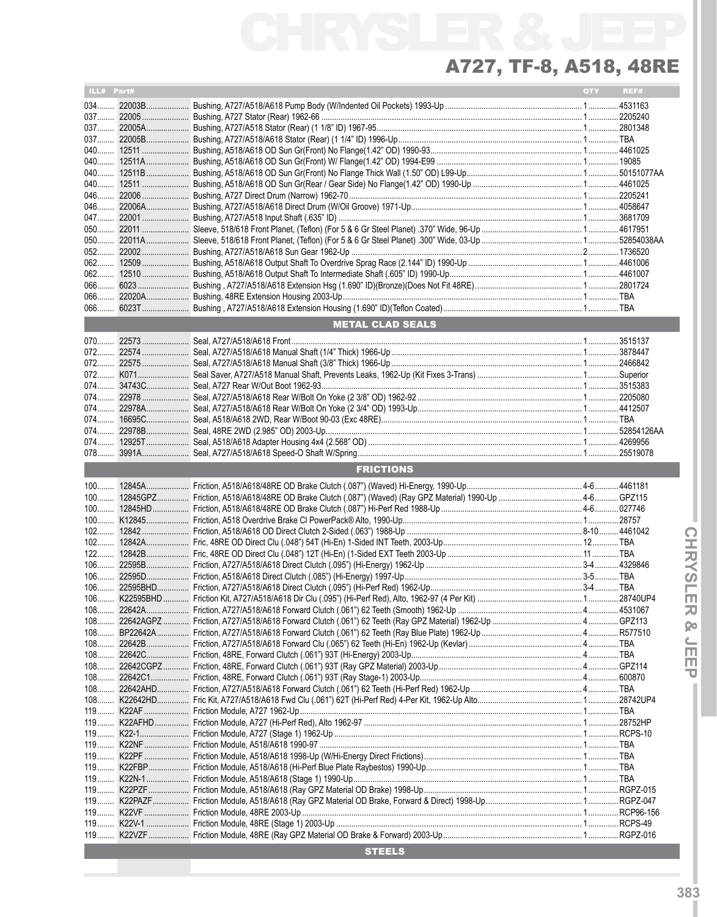| ILL# Part# |                         | QTY | REF# |
|------------|-------------------------|-----|------|
|            |                         |     |      |
|            |                         |     |      |
|            |                         |     |      |
|            |                         |     |      |
|            |                         |     |      |
|            |                         |     |      |
|            |                         |     |      |
|            |                         |     |      |
|            |                         |     |      |
| 046        |                         |     |      |
|            |                         |     |      |
|            |                         |     |      |
|            |                         |     |      |
| 050        |                         |     |      |
| $052$      |                         |     |      |
|            |                         |     |      |
|            |                         |     |      |
|            |                         |     |      |
| 066        |                         |     |      |
| $066$      |                         |     |      |
|            | <b>METAL CLAD SEALS</b> |     |      |
|            |                         |     |      |
|            |                         |     |      |
|            |                         |     |      |
|            |                         |     |      |
|            |                         |     |      |
|            |                         |     |      |
|            |                         |     |      |
|            |                         |     |      |
| 074        |                         |     |      |
|            |                         |     |      |
|            |                         |     |      |
|            |                         |     |      |
|            | <b>FRICTIONS</b>        |     |      |
|            |                         |     |      |
| $100$      |                         |     |      |
|            |                         |     |      |
|            |                         |     |      |
|            |                         |     |      |
|            |                         |     |      |
|            |                         |     |      |
| $122$      |                         |     |      |
|            |                         |     |      |
|            |                         |     |      |
|            |                         |     |      |
|            |                         |     |      |
|            |                         |     |      |
|            |                         |     |      |
|            |                         |     |      |
|            |                         |     |      |
| $108$      |                         |     |      |
|            |                         |     |      |
|            |                         |     |      |
|            |                         |     |      |
|            |                         |     |      |
|            |                         |     |      |
|            |                         |     |      |
|            |                         |     |      |
|            |                         |     |      |
|            |                         |     |      |
|            |                         |     |      |
|            |                         |     |      |
|            |                         |     |      |
|            |                         |     |      |
|            |                         |     |      |
|            |                         |     |      |
|            |                         |     |      |
|            | <b>STEELS</b>           |     |      |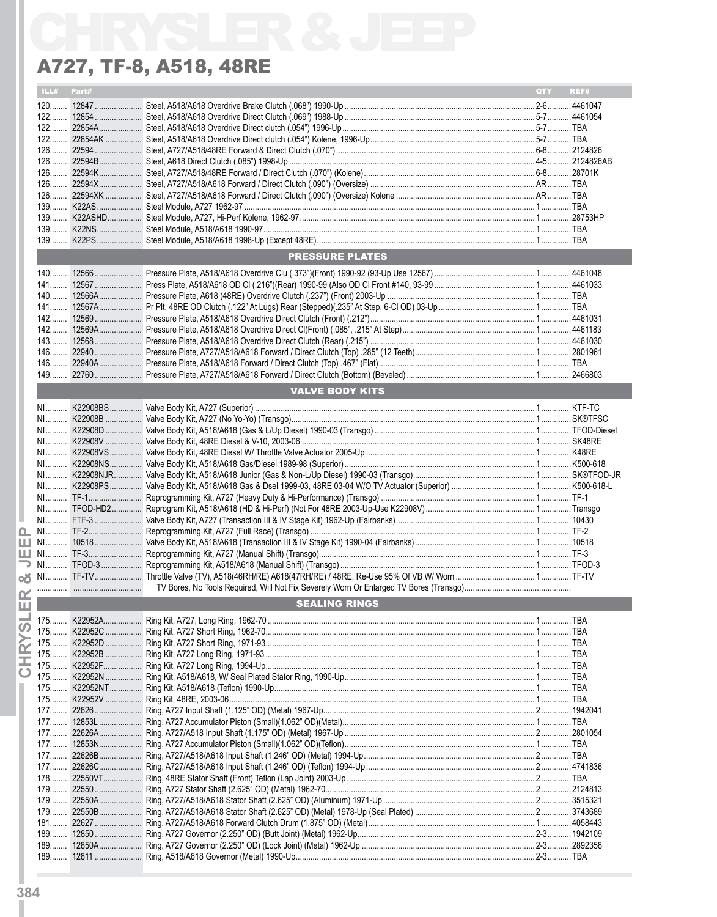|       |            | A727, TF-8, A518, 48RE |            |      |
|-------|------------|------------------------|------------|------|
|       | ILL# Part# |                        | <b>QTY</b> | REF# |
|       |            |                        |            |      |
|       |            |                        |            |      |
|       |            |                        |            |      |
|       |            |                        |            |      |
|       |            |                        |            |      |
|       |            |                        |            |      |
|       |            |                        |            |      |
|       |            |                        |            |      |
|       |            |                        |            |      |
|       |            |                        |            |      |
|       |            |                        |            |      |
|       |            |                        |            |      |
|       |            |                        |            |      |
|       |            | <b>PRESSURE PLATES</b> |            |      |
|       |            |                        |            |      |
|       |            |                        |            |      |
|       |            |                        |            |      |
|       |            |                        |            |      |
|       |            |                        |            |      |
|       |            |                        |            |      |
|       |            |                        |            |      |
|       |            |                        |            |      |
|       |            |                        |            |      |
|       |            |                        |            |      |
|       |            | <b>VALVE BODY KITS</b> |            |      |
|       |            |                        |            |      |
|       |            |                        |            |      |
|       |            |                        |            |      |
|       |            |                        |            |      |
|       |            |                        |            |      |
|       |            |                        |            |      |
|       |            |                        |            |      |
|       |            |                        |            |      |
|       |            |                        |            |      |
|       |            |                        |            |      |
|       |            |                        |            |      |
|       |            |                        |            |      |
|       |            |                        |            |      |
|       |            |                        |            |      |
|       |            |                        |            |      |
|       |            |                        |            |      |
|       |            | <b>SEALING RINGS</b>   |            |      |
|       |            |                        |            |      |
|       |            |                        |            |      |
|       |            |                        |            |      |
|       |            |                        |            |      |
|       |            |                        |            |      |
|       |            |                        |            |      |
|       |            |                        |            |      |
|       |            |                        |            |      |
|       |            |                        |            |      |
|       |            |                        |            |      |
|       |            |                        |            |      |
|       |            |                        |            |      |
|       |            |                        |            |      |
|       |            |                        |            |      |
|       |            |                        |            |      |
|       |            |                        |            |      |
|       |            |                        |            |      |
|       |            |                        |            |      |
|       |            |                        |            |      |
| $189$ |            |                        |            |      |
|       |            |                        |            |      |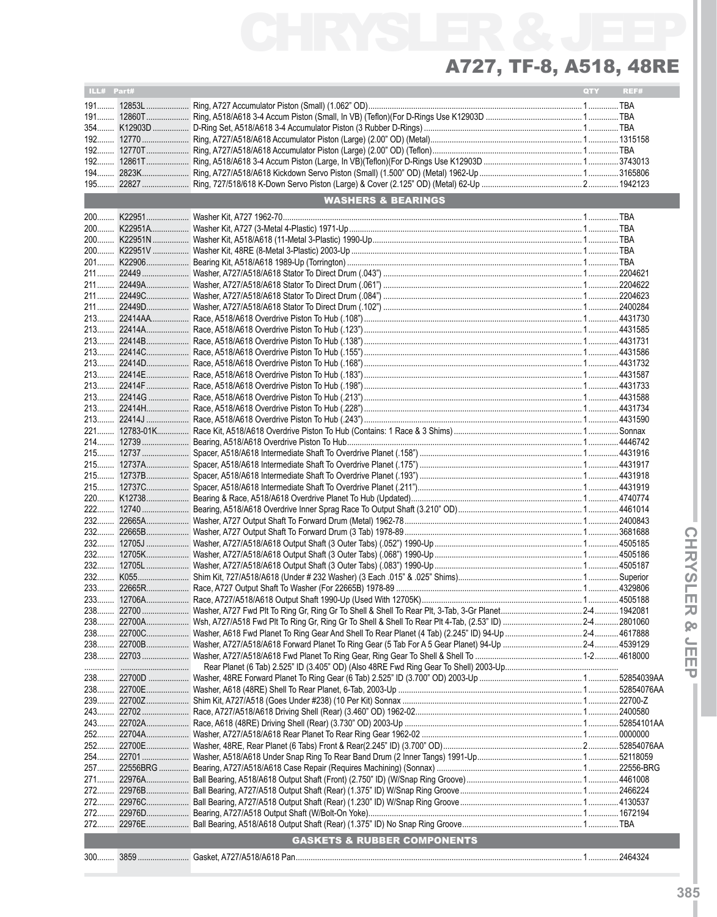| ILL# Part# |                                        | <b>QTY</b> | REF# |
|------------|----------------------------------------|------------|------|
|            |                                        |            |      |
|            |                                        |            |      |
|            |                                        |            |      |
|            |                                        |            |      |
|            |                                        |            |      |
|            |                                        |            |      |
|            |                                        |            |      |
|            |                                        |            |      |
|            | <b>WASHERS &amp; BEARINGS</b>          |            |      |
|            |                                        |            |      |
|            |                                        |            |      |
|            |                                        |            |      |
|            |                                        |            |      |
|            |                                        |            |      |
|            |                                        |            |      |
|            |                                        |            |      |
|            |                                        |            |      |
|            |                                        |            |      |
|            |                                        |            |      |
|            |                                        |            |      |
|            |                                        |            |      |
|            |                                        |            |      |
|            |                                        |            |      |
|            |                                        |            |      |
|            |                                        |            |      |
|            |                                        |            |      |
|            |                                        |            |      |
|            |                                        |            |      |
|            |                                        |            |      |
|            |                                        |            |      |
|            |                                        |            |      |
|            |                                        |            |      |
|            |                                        |            |      |
|            |                                        |            |      |
|            |                                        |            |      |
|            |                                        |            |      |
|            |                                        |            |      |
|            |                                        |            |      |
|            |                                        |            |      |
|            |                                        |            |      |
|            |                                        |            |      |
|            |                                        |            |      |
|            |                                        |            |      |
|            |                                        |            |      |
|            |                                        |            |      |
|            |                                        |            |      |
|            |                                        |            |      |
|            |                                        |            |      |
|            |                                        |            |      |
|            |                                        |            |      |
|            |                                        |            |      |
|            |                                        |            |      |
|            |                                        |            |      |
|            |                                        |            |      |
|            |                                        |            |      |
|            |                                        |            |      |
|            |                                        |            |      |
|            |                                        |            |      |
|            |                                        |            |      |
|            | <b>GASKETS &amp; RUBBER COMPONENTS</b> |            |      |
|            |                                        |            |      |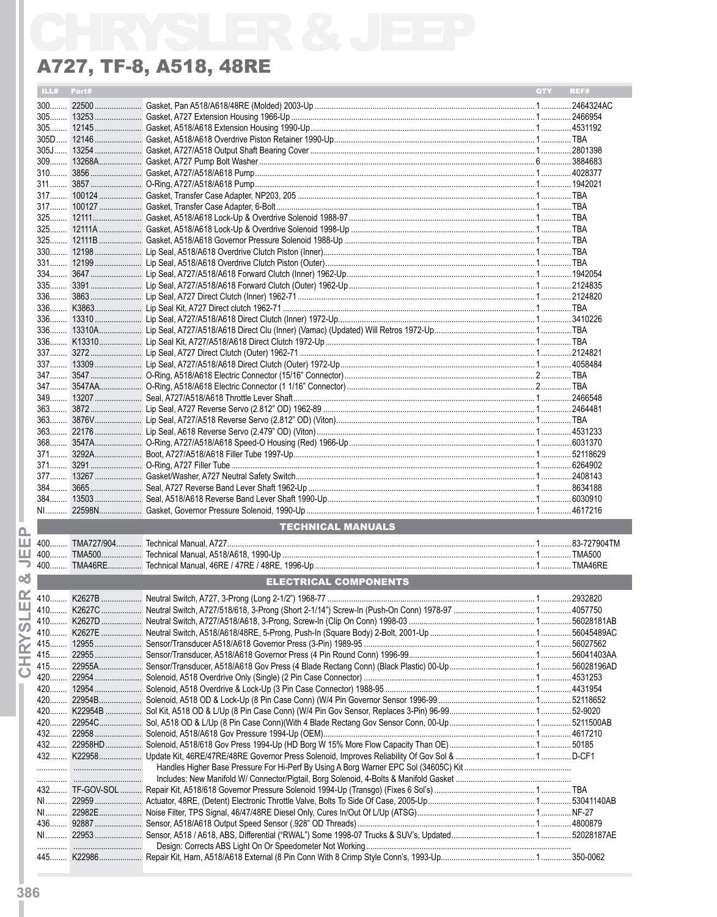|        |            | A727, TF-8, A518, 48RE       |            |      |
|--------|------------|------------------------------|------------|------|
|        | ILL# Part# |                              | <b>OTY</b> | REF# |
|        |            |                              |            |      |
|        |            |                              |            |      |
|        |            |                              |            |      |
| $305D$ |            |                              |            |      |
|        |            |                              |            |      |
|        |            |                              |            |      |
|        |            |                              |            |      |
| $311$  |            |                              |            |      |
| $317$  |            |                              |            |      |
|        |            |                              |            |      |
|        |            |                              |            |      |
|        |            |                              |            |      |
|        |            |                              |            |      |
| $330$  |            |                              |            |      |
|        |            |                              |            |      |
|        |            |                              |            |      |
|        |            |                              |            |      |
|        |            |                              |            |      |
| $336$  |            |                              |            |      |
|        |            |                              |            |      |
|        |            |                              |            |      |
|        |            |                              |            |      |
|        |            |                              |            |      |
| 337    |            |                              |            |      |
|        |            |                              |            |      |
|        |            |                              |            |      |
|        |            |                              |            |      |
|        |            |                              |            |      |
|        |            |                              |            |      |
|        |            |                              |            |      |
|        |            |                              |            |      |
|        |            |                              |            |      |
| $377$  |            |                              |            |      |
|        |            |                              |            |      |
|        |            |                              |            |      |
|        |            |                              |            |      |
|        |            | <b>TECHNICAL MANUALS</b>     |            |      |
|        |            |                              |            |      |
|        |            |                              |            |      |
|        |            |                              |            |      |
|        |            | <b>ELECTRICAL COMPONENTS</b> |            |      |
|        |            |                              |            |      |
|        |            |                              |            |      |
|        |            |                              |            |      |
|        |            |                              |            |      |
|        |            |                              |            |      |
|        |            |                              |            |      |
|        |            |                              |            |      |
|        |            |                              |            |      |
|        |            |                              |            |      |
|        |            |                              |            |      |
|        |            |                              |            |      |
|        |            |                              |            |      |
|        |            |                              |            |      |
|        |            |                              |            |      |
|        |            |                              |            |      |
|        |            |                              |            |      |
|        |            |                              |            |      |
|        |            |                              |            |      |
|        |            |                              |            |      |
|        |            |                              |            |      |
|        |            |                              |            |      |
|        |            |                              |            |      |
|        |            |                              |            |      |
|        |            |                              |            |      |
|        |            |                              |            |      |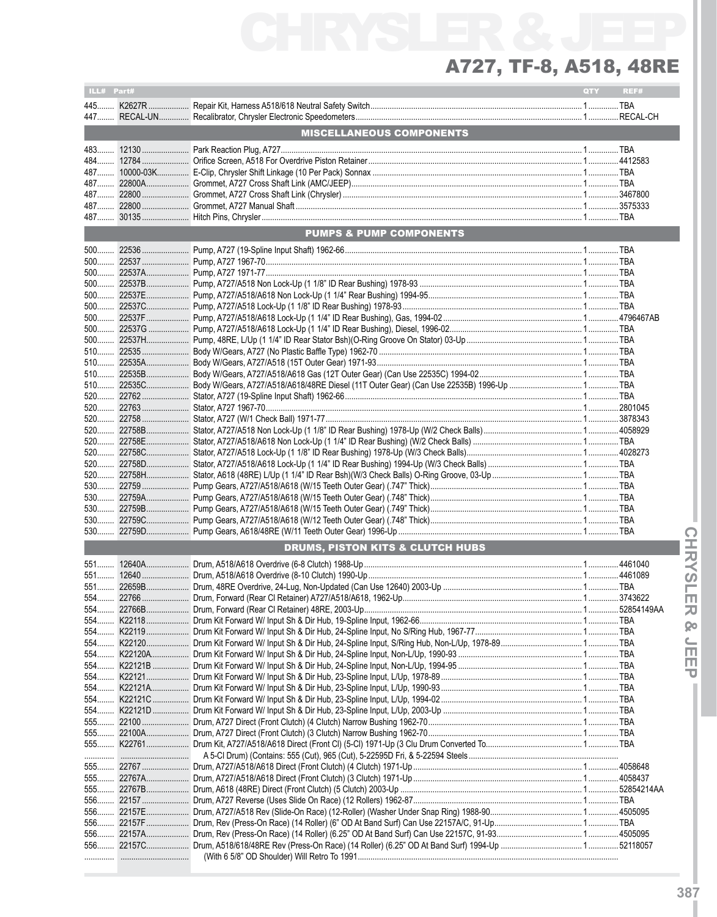| ILL# Part#   |                                             | QTY | REF# |
|--------------|---------------------------------------------|-----|------|
|              |                                             |     |      |
|              | <b>MISCELLANEOUS COMPONENTS</b>             |     |      |
|              |                                             |     |      |
|              |                                             |     |      |
|              |                                             |     |      |
| 487          |                                             |     |      |
| 487          |                                             |     |      |
|              |                                             |     |      |
|              | <b>PUMPS &amp; PUMP COMPONENTS</b>          |     |      |
| $500$        |                                             |     |      |
|              |                                             |     |      |
|              |                                             |     |      |
|              |                                             |     |      |
|              |                                             |     |      |
|              |                                             |     |      |
|              |                                             |     |      |
|              |                                             |     |      |
|              |                                             |     |      |
|              |                                             |     |      |
|              |                                             |     |      |
|              |                                             |     |      |
|              |                                             |     |      |
|              |                                             |     |      |
|              |                                             |     |      |
|              |                                             |     |      |
|              |                                             |     |      |
|              |                                             |     |      |
|              |                                             |     |      |
| $520$        |                                             |     |      |
|              |                                             |     |      |
| 530          |                                             |     |      |
| $530$<br>530 |                                             |     |      |
|              |                                             |     |      |
|              | <b>DRUMS, PISTON KITS &amp; CLUTCH HUBS</b> |     |      |
|              |                                             |     |      |
|              |                                             |     |      |
|              |                                             |     |      |
|              |                                             |     |      |
|              |                                             |     |      |
|              |                                             |     |      |
|              |                                             |     |      |
|              |                                             |     |      |
|              |                                             |     |      |
|              |                                             |     |      |
|              |                                             |     |      |
|              |                                             |     |      |
|              |                                             |     |      |
|              |                                             |     |      |
|              |                                             |     |      |
|              |                                             |     |      |
|              |                                             |     |      |
|              |                                             |     |      |
|              |                                             |     |      |
|              |                                             |     |      |
|              |                                             |     |      |
|              |                                             |     |      |
|              |                                             |     |      |
|              |                                             |     |      |
|              |                                             |     |      |
|              |                                             |     |      |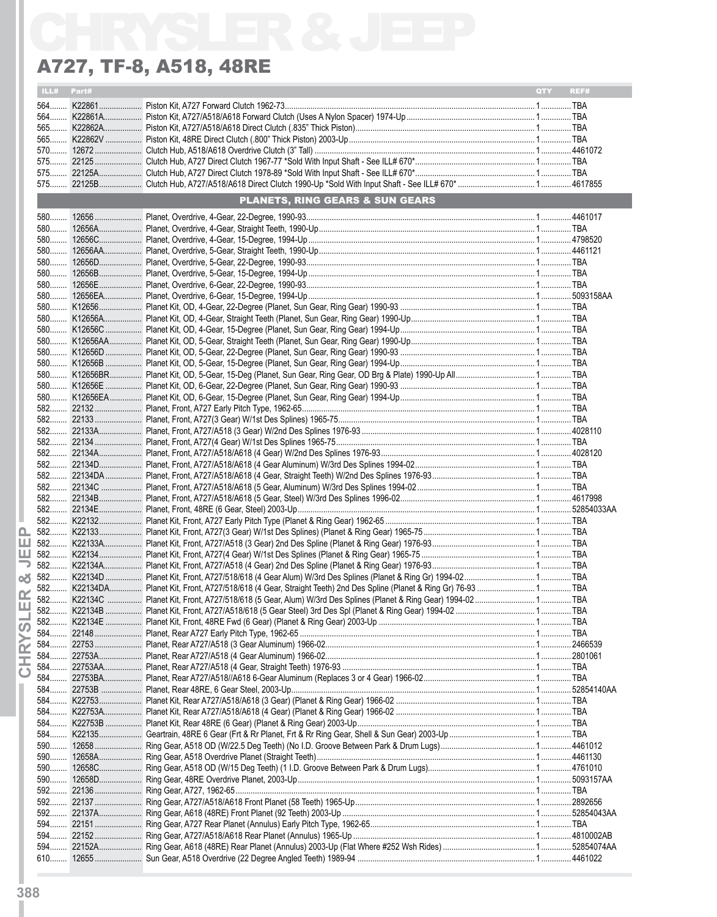| ILL# Part#<br><b>PLANETS, RING GEARS &amp; SUN GEARS</b><br>582 K22134DA Planet Kit, Front, A727/518/618 (4 Gear, Straight Teeth) 2nd Des Spline (Planet & Ring Gr) 76-93  TBA |            |      |
|--------------------------------------------------------------------------------------------------------------------------------------------------------------------------------|------------|------|
|                                                                                                                                                                                | <b>OTY</b> | REF# |
|                                                                                                                                                                                |            |      |
|                                                                                                                                                                                |            |      |
|                                                                                                                                                                                |            |      |
|                                                                                                                                                                                |            |      |
|                                                                                                                                                                                |            |      |
|                                                                                                                                                                                |            |      |
|                                                                                                                                                                                |            |      |
|                                                                                                                                                                                |            |      |
|                                                                                                                                                                                |            |      |
|                                                                                                                                                                                |            |      |
|                                                                                                                                                                                |            |      |
|                                                                                                                                                                                |            |      |
|                                                                                                                                                                                |            |      |
|                                                                                                                                                                                |            |      |
|                                                                                                                                                                                |            |      |
|                                                                                                                                                                                |            |      |
|                                                                                                                                                                                |            |      |
|                                                                                                                                                                                |            |      |
|                                                                                                                                                                                |            |      |
|                                                                                                                                                                                |            |      |
|                                                                                                                                                                                |            |      |
|                                                                                                                                                                                |            |      |
|                                                                                                                                                                                |            |      |
|                                                                                                                                                                                |            |      |
|                                                                                                                                                                                |            |      |
|                                                                                                                                                                                |            |      |
|                                                                                                                                                                                |            |      |
|                                                                                                                                                                                |            |      |
|                                                                                                                                                                                |            |      |
|                                                                                                                                                                                |            |      |
|                                                                                                                                                                                |            |      |
|                                                                                                                                                                                |            |      |
|                                                                                                                                                                                |            |      |
|                                                                                                                                                                                |            |      |
|                                                                                                                                                                                |            |      |
|                                                                                                                                                                                |            |      |
|                                                                                                                                                                                |            |      |
|                                                                                                                                                                                |            |      |
|                                                                                                                                                                                |            |      |
|                                                                                                                                                                                |            |      |
|                                                                                                                                                                                |            |      |
|                                                                                                                                                                                |            |      |
|                                                                                                                                                                                |            |      |
|                                                                                                                                                                                |            |      |
|                                                                                                                                                                                |            |      |
|                                                                                                                                                                                |            |      |
|                                                                                                                                                                                |            |      |
|                                                                                                                                                                                |            |      |
|                                                                                                                                                                                |            |      |
|                                                                                                                                                                                |            |      |
|                                                                                                                                                                                |            |      |
|                                                                                                                                                                                |            |      |
|                                                                                                                                                                                |            |      |
|                                                                                                                                                                                |            |      |
|                                                                                                                                                                                |            |      |
|                                                                                                                                                                                |            |      |
|                                                                                                                                                                                |            |      |
|                                                                                                                                                                                |            |      |
|                                                                                                                                                                                |            |      |
|                                                                                                                                                                                |            |      |
|                                                                                                                                                                                |            |      |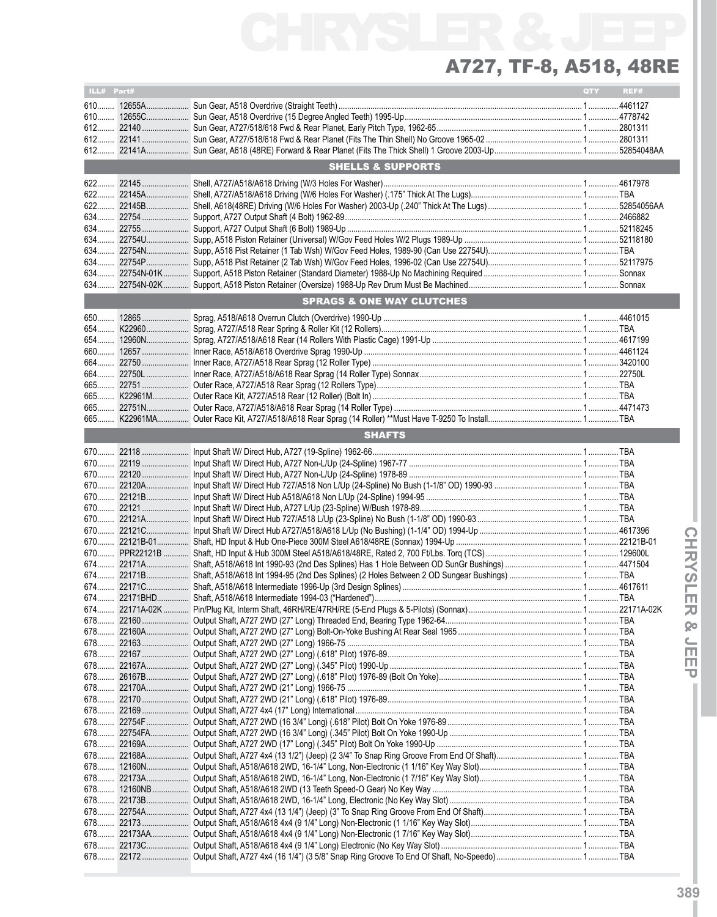| ILL# Part# |                                      | QTY | REF# |
|------------|--------------------------------------|-----|------|
|            |                                      |     |      |
|            |                                      |     |      |
|            |                                      |     |      |
|            |                                      |     |      |
|            |                                      |     |      |
|            | <b>SHELLS &amp; SUPPORTS</b>         |     |      |
| 622        |                                      |     |      |
|            |                                      |     |      |
|            |                                      |     |      |
|            |                                      |     |      |
|            |                                      |     |      |
| 634        |                                      |     |      |
|            |                                      |     |      |
|            |                                      |     |      |
|            |                                      |     |      |
|            |                                      |     |      |
|            | <b>SPRAGS &amp; ONE WAY CLUTCHES</b> |     |      |
|            |                                      |     |      |
|            |                                      |     |      |
|            |                                      |     |      |
| $660$      |                                      |     |      |
| 664        |                                      |     |      |
|            |                                      |     |      |
|            |                                      |     |      |
|            |                                      |     |      |
|            |                                      |     |      |
|            |                                      |     |      |
|            | <b>SHAFTS</b>                        |     |      |
|            |                                      |     |      |
|            |                                      |     |      |
|            |                                      |     |      |
|            |                                      |     |      |
|            |                                      |     |      |
|            |                                      |     |      |
|            |                                      |     |      |
|            |                                      |     |      |
|            |                                      |     |      |
|            |                                      |     |      |
|            |                                      |     |      |
|            |                                      |     |      |
|            |                                      |     |      |
|            |                                      |     |      |
|            |                                      |     |      |
|            |                                      |     |      |
|            |                                      |     |      |
|            |                                      |     |      |
|            |                                      |     |      |
|            |                                      |     |      |
| 678        |                                      |     |      |
| 678        |                                      |     |      |
|            |                                      |     |      |
|            |                                      |     |      |
|            |                                      |     |      |
| 678        |                                      |     |      |
|            |                                      |     |      |
|            |                                      |     |      |
|            |                                      |     |      |
|            |                                      |     |      |
| 678        |                                      |     |      |
| 678        |                                      |     |      |
|            |                                      |     |      |
|            |                                      |     |      |
|            |                                      |     |      |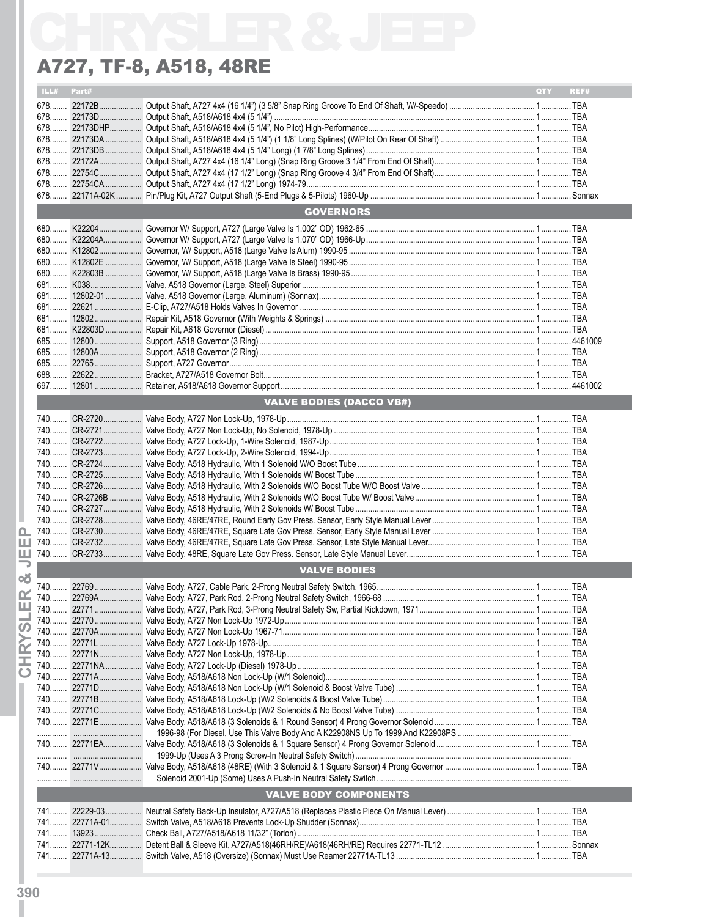|            | A727, TF-8, A518, 48RE          |                    |
|------------|---------------------------------|--------------------|
| ILL# Part# |                                 | <b>QTY</b><br>REF# |
|            |                                 |                    |
|            |                                 |                    |
|            |                                 |                    |
|            |                                 |                    |
|            |                                 |                    |
|            |                                 |                    |
|            |                                 |                    |
|            |                                 |                    |
|            | <b>GOVERNORS</b>                |                    |
|            |                                 |                    |
|            |                                 |                    |
|            |                                 |                    |
|            |                                 |                    |
|            |                                 |                    |
|            |                                 |                    |
|            |                                 |                    |
|            |                                 |                    |
|            |                                 |                    |
|            |                                 |                    |
|            |                                 |                    |
|            |                                 |                    |
|            |                                 |                    |
|            |                                 |                    |
|            | <b>VALVE BODIES (DACCO VB#)</b> |                    |
|            |                                 |                    |
|            |                                 |                    |
|            |                                 |                    |
|            |                                 |                    |
|            |                                 |                    |
|            |                                 |                    |
|            |                                 |                    |
|            |                                 |                    |
|            |                                 |                    |
|            |                                 |                    |
|            |                                 |                    |
|            |                                 |                    |
|            | <b>VALVE BODIES</b>             |                    |
|            |                                 |                    |
|            |                                 |                    |
|            |                                 |                    |
|            |                                 |                    |
|            |                                 |                    |
|            |                                 |                    |
|            |                                 |                    |
|            |                                 |                    |
|            |                                 |                    |
|            |                                 |                    |
|            |                                 |                    |
|            |                                 |                    |
|            |                                 |                    |
|            |                                 |                    |
|            |                                 |                    |
|            |                                 |                    |
|            | <b>VALVE BODY COMPONENTS</b>    |                    |
|            |                                 |                    |
|            |                                 |                    |
|            |                                 |                    |
|            |                                 |                    |
|            |                                 |                    |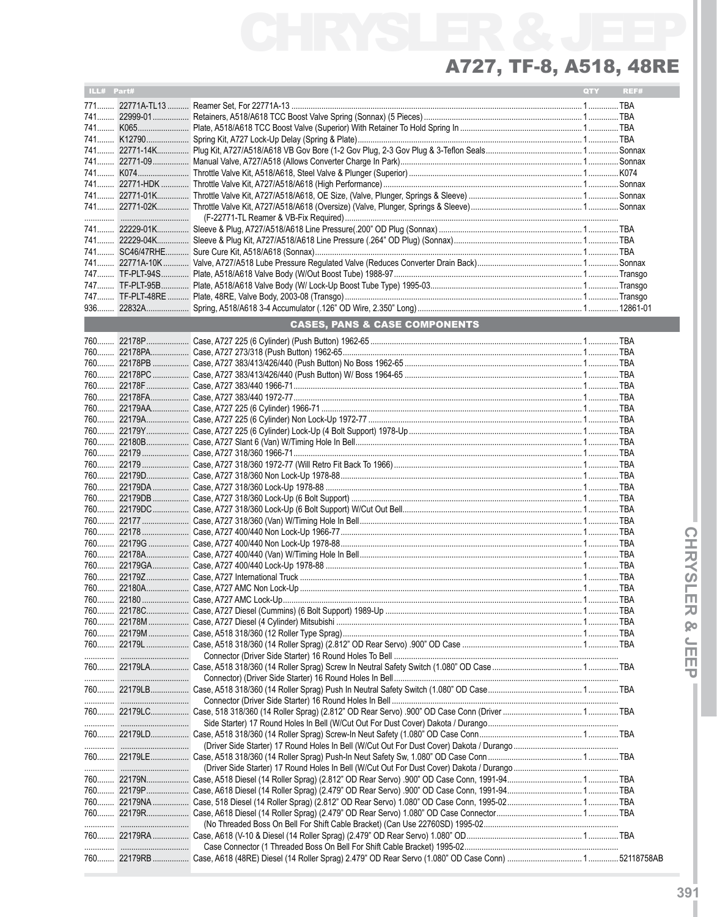۰

| ILL# Part# |                                          | <b>QTY</b> | REF# |
|------------|------------------------------------------|------------|------|
|            |                                          |            |      |
|            |                                          |            |      |
|            |                                          |            |      |
|            |                                          |            |      |
|            |                                          |            |      |
|            |                                          |            |      |
|            |                                          |            |      |
|            |                                          |            |      |
|            |                                          |            |      |
|            |                                          |            |      |
|            |                                          |            |      |
|            |                                          |            |      |
|            |                                          |            |      |
|            |                                          |            |      |
|            |                                          |            |      |
|            |                                          |            |      |
|            |                                          |            |      |
|            |                                          |            |      |
|            | <b>CASES, PANS &amp; CASE COMPONENTS</b> |            |      |
|            |                                          |            |      |
|            |                                          |            |      |
|            |                                          |            |      |
|            |                                          |            |      |
|            |                                          |            |      |
|            |                                          |            |      |
|            |                                          |            |      |
|            |                                          |            |      |
|            |                                          |            |      |
|            |                                          |            |      |
|            |                                          |            |      |
|            |                                          |            |      |
|            |                                          |            |      |
|            |                                          |            |      |
|            |                                          |            |      |
|            |                                          |            |      |
|            |                                          |            |      |
|            |                                          |            |      |
|            |                                          |            |      |
|            |                                          |            |      |
|            |                                          |            |      |
|            |                                          |            |      |
|            |                                          |            |      |
|            |                                          |            |      |
|            |                                          |            |      |
|            |                                          |            |      |
|            |                                          |            |      |
|            |                                          |            |      |
|            |                                          |            |      |
|            |                                          |            |      |
|            |                                          |            |      |
|            |                                          |            |      |
|            |                                          |            |      |
|            |                                          |            |      |
|            |                                          |            |      |
|            |                                          |            |      |
|            |                                          |            |      |
|            |                                          |            |      |
|            |                                          |            |      |
|            |                                          |            |      |
|            |                                          |            |      |
|            |                                          |            |      |
|            |                                          |            |      |
|            |                                          |            |      |
|            |                                          |            |      |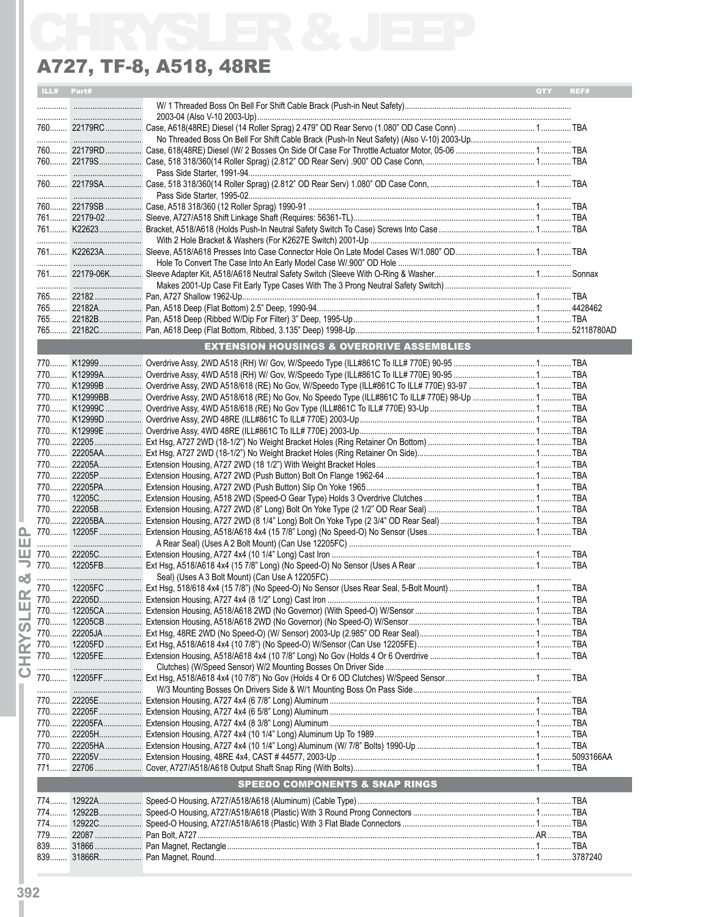|       |            | A727, TF-8, A518, 48RE                               |     |      |
|-------|------------|------------------------------------------------------|-----|------|
|       | ILL# Part# |                                                      | QTY | REF# |
|       |            |                                                      |     |      |
|       |            |                                                      |     |      |
|       |            |                                                      |     |      |
|       |            |                                                      |     |      |
|       |            |                                                      |     |      |
|       |            |                                                      |     |      |
|       |            |                                                      |     |      |
|       |            |                                                      |     |      |
|       |            |                                                      |     |      |
|       |            |                                                      |     |      |
|       |            |                                                      |     |      |
|       |            |                                                      |     |      |
|       |            |                                                      |     |      |
|       |            |                                                      |     |      |
|       |            |                                                      |     |      |
|       |            |                                                      |     |      |
|       |            |                                                      |     |      |
|       |            |                                                      |     |      |
|       |            | <b>EXTENSION HOUSINGS &amp; OVERDRIVE ASSEMBLIES</b> |     |      |
|       |            |                                                      |     |      |
|       |            |                                                      |     |      |
|       |            |                                                      |     |      |
|       |            |                                                      |     |      |
|       |            |                                                      |     |      |
|       |            |                                                      |     |      |
|       |            |                                                      |     |      |
|       |            |                                                      |     |      |
|       |            |                                                      |     |      |
|       |            |                                                      |     |      |
|       |            |                                                      |     |      |
|       |            |                                                      |     |      |
|       |            |                                                      |     |      |
|       |            |                                                      |     |      |
|       |            |                                                      |     |      |
|       |            |                                                      |     |      |
|       |            |                                                      |     |      |
|       |            |                                                      |     |      |
|       |            |                                                      |     |      |
|       |            |                                                      |     |      |
|       |            |                                                      |     |      |
|       |            |                                                      |     |      |
|       |            |                                                      |     |      |
|       |            |                                                      |     |      |
|       |            |                                                      |     |      |
|       |            |                                                      |     |      |
|       |            |                                                      |     |      |
|       |            |                                                      |     |      |
|       |            |                                                      |     |      |
|       |            |                                                      |     |      |
|       |            |                                                      |     |      |
|       |            |                                                      |     |      |
|       |            | <b>SPEEDO COMPONENTS &amp; SNAP RINGS</b>            |     |      |
|       |            |                                                      |     |      |
| $774$ |            |                                                      |     |      |
|       |            |                                                      |     |      |
|       |            |                                                      |     |      |
|       |            |                                                      |     |      |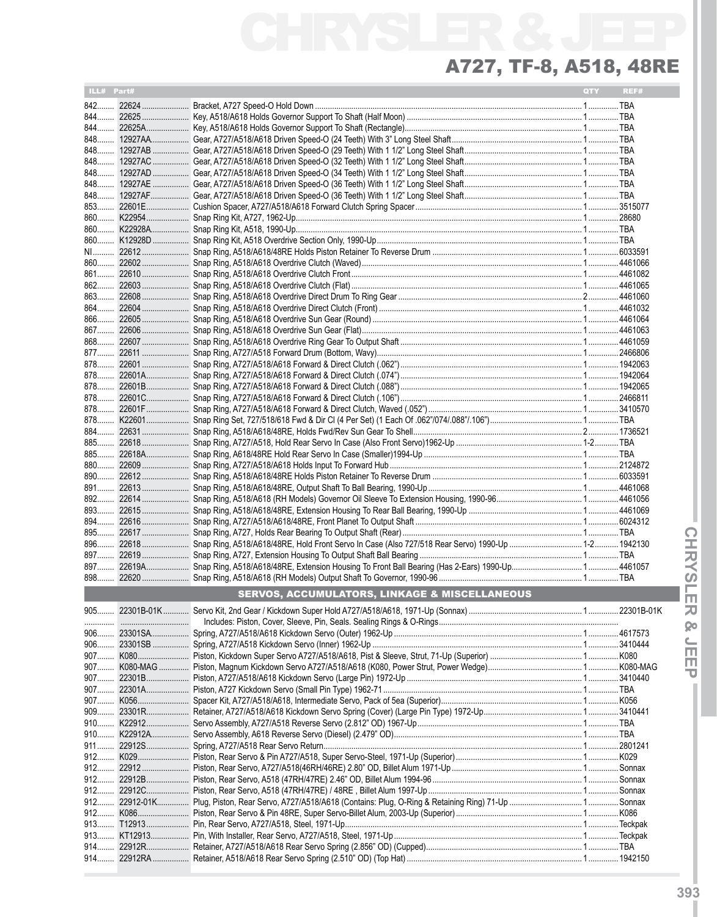| ILL# Part# |                                                          | QTY | REF# |
|------------|----------------------------------------------------------|-----|------|
|            |                                                          |     |      |
|            |                                                          |     |      |
|            |                                                          |     |      |
|            |                                                          |     |      |
|            |                                                          |     |      |
|            |                                                          |     |      |
|            |                                                          |     |      |
|            |                                                          |     |      |
|            |                                                          |     |      |
|            |                                                          |     |      |
|            |                                                          |     |      |
|            |                                                          |     |      |
|            |                                                          |     |      |
|            |                                                          |     |      |
|            |                                                          |     |      |
|            |                                                          |     |      |
|            |                                                          |     |      |
|            |                                                          |     |      |
|            |                                                          |     |      |
|            |                                                          |     |      |
|            |                                                          |     |      |
|            |                                                          |     |      |
|            |                                                          |     |      |
|            |                                                          |     |      |
|            |                                                          |     |      |
|            |                                                          |     |      |
|            |                                                          |     |      |
|            |                                                          |     |      |
| 884        |                                                          |     |      |
|            |                                                          |     |      |
|            |                                                          |     |      |
|            |                                                          |     |      |
|            |                                                          |     |      |
|            |                                                          |     |      |
|            |                                                          |     |      |
|            |                                                          |     |      |
|            |                                                          |     |      |
|            |                                                          |     |      |
|            |                                                          |     |      |
|            |                                                          |     |      |
|            |                                                          |     |      |
|            | <b>SERVOS, ACCUMULATORS, LINKAGE &amp; MISCELLANEOUS</b> |     |      |
|            |                                                          |     |      |
|            |                                                          |     |      |
|            |                                                          |     |      |
|            |                                                          |     |      |
|            |                                                          |     |      |
|            |                                                          |     |      |
|            |                                                          |     |      |
|            |                                                          |     |      |
|            |                                                          |     |      |
|            |                                                          |     |      |
|            |                                                          |     |      |
|            |                                                          |     |      |
|            |                                                          |     |      |
| $912$      |                                                          |     |      |
| $912$      |                                                          |     |      |
|            |                                                          |     |      |
|            |                                                          |     |      |
| 912        |                                                          |     |      |
| $913$      |                                                          |     |      |
|            |                                                          |     |      |
|            |                                                          |     |      |
|            |                                                          |     |      |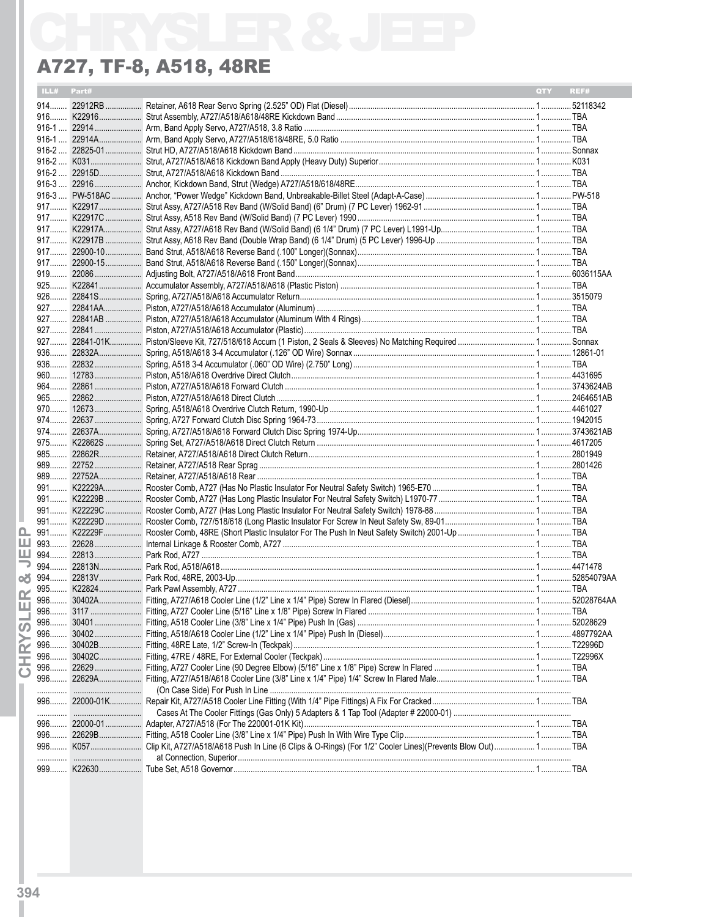| ILL#<br>Part# | QTY | REF# |
|---------------|-----|------|
|               |     |      |
|               |     |      |
|               |     |      |
|               |     |      |
|               |     |      |
|               |     |      |
|               |     |      |
|               |     |      |
|               |     |      |
|               |     |      |
|               |     |      |
|               |     |      |
|               |     |      |
|               |     |      |
|               |     |      |
|               |     |      |
|               |     |      |
|               |     |      |
|               |     |      |
|               |     |      |
|               |     |      |
|               |     |      |
|               |     |      |
|               |     |      |
|               |     |      |
|               |     |      |
|               |     |      |
|               |     |      |
|               |     |      |
|               |     |      |
|               |     |      |
|               |     |      |
|               |     |      |
|               |     |      |
|               |     |      |
|               |     |      |
|               |     |      |
|               |     |      |
|               |     |      |
|               |     |      |
|               |     |      |
|               |     |      |
|               |     |      |
|               |     |      |
|               |     |      |
|               |     |      |
|               |     |      |
|               |     |      |
| 996………        |     |      |
| 996           |     |      |
|               |     |      |
| 996           |     |      |
| 996           |     |      |
| 996           |     |      |
| 996           |     |      |
| .             |     |      |
|               |     |      |
|               |     |      |
|               |     |      |
|               |     |      |
|               |     |      |
|               |     |      |
|               |     |      |